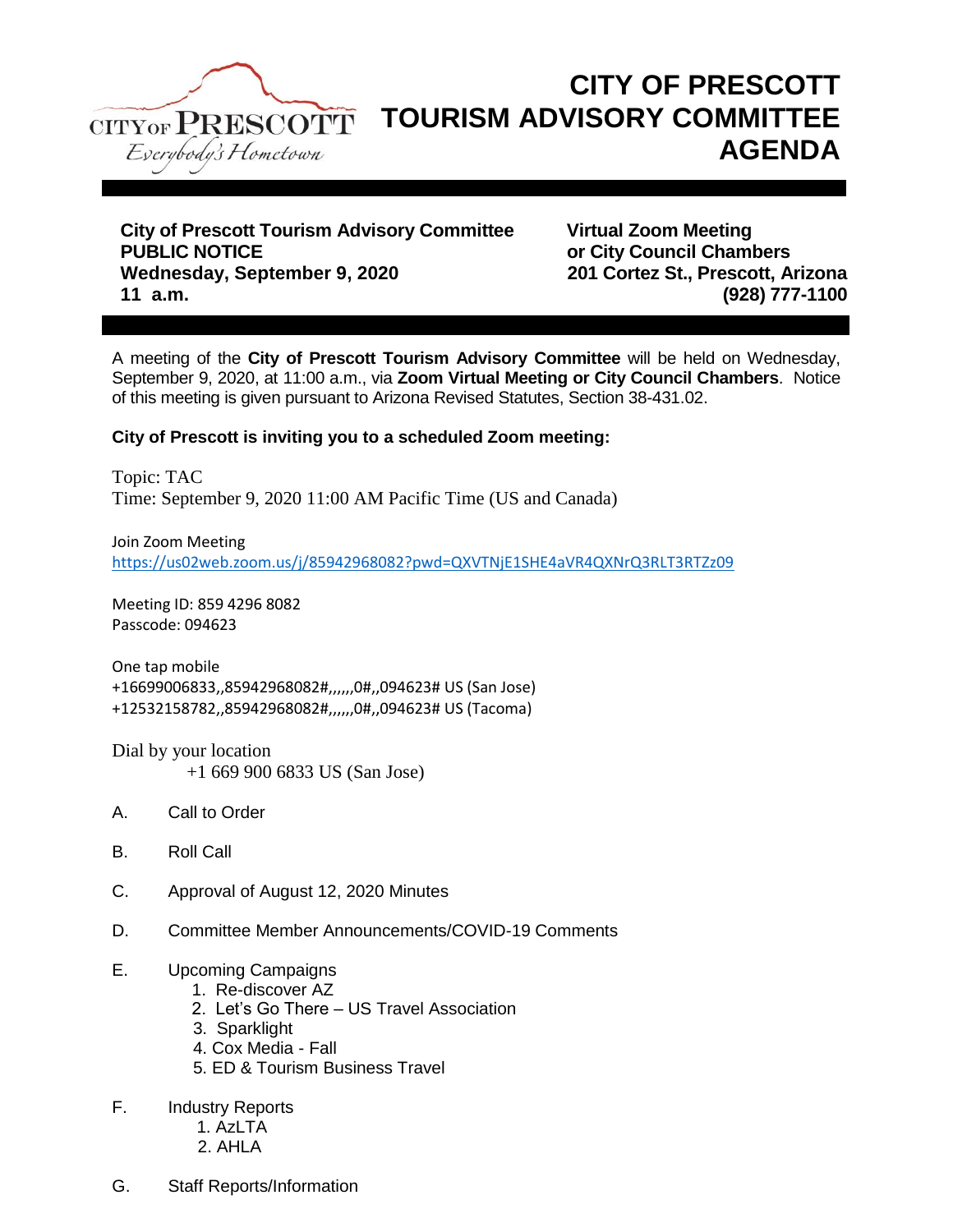

## **CITY OF PRESCOTT TOURISM ADVISORY COMMITTEE AGENDA**

**City of Prescott Tourism Advisory Committee Virtual Zoom Meeting PUBLIC NOTICE** *COUNCILY COUNCILY COUNCILY COUNCILY COUNCILY COUNCILY COUNCILY COUNCILY COUNCILY COUNCILY COUNCILY COUNCILY COUNCILY COUNCILY COUNCILY COUNCILY* **Wednesday, September 9, 2020 201 Cortez St., Prescott, Arizona 11 a.m. (928) 777-1100**

A meeting of the **City of Prescott Tourism Advisory Committee** will be held on Wednesday, September 9, 2020, at 11:00 a.m., via **Zoom Virtual Meeting or City Council Chambers**. Notice of this meeting is given pursuant to Arizona Revised Statutes, Section 38-431.02.

## **City of Prescott is inviting you to a scheduled Zoom meeting:**

Topic: TAC Time: September 9, 2020 11:00 AM Pacific Time (US and Canada)

Join Zoom Meeting <https://us02web.zoom.us/j/85942968082?pwd=QXVTNjE1SHE4aVR4QXNrQ3RLT3RTZz09>

Meeting ID: 859 4296 8082 Passcode: 094623

One tap mobile +16699006833,,85942968082#,,,,,,0#,,094623# US (San Jose) +12532158782,,85942968082#,,,,,,0#,,094623# US (Tacoma)

Dial by your location +1 669 900 6833 US (San Jose)

- A. Call to Order
- B. Roll Call
- C. Approval of August 12, 2020 Minutes
- D. Committee Member Announcements/COVID-19 Comments

## E. Upcoming Campaigns

- 1. Re-discover AZ
- 2. Let's Go There US Travel Association
- 3. Sparklight
- 4. Cox Media Fall
- 5. ED & Tourism Business Travel
- F. Industry Reports
	- 1. AzLTA
		- 2. AHLA
- G. Staff Reports/Information